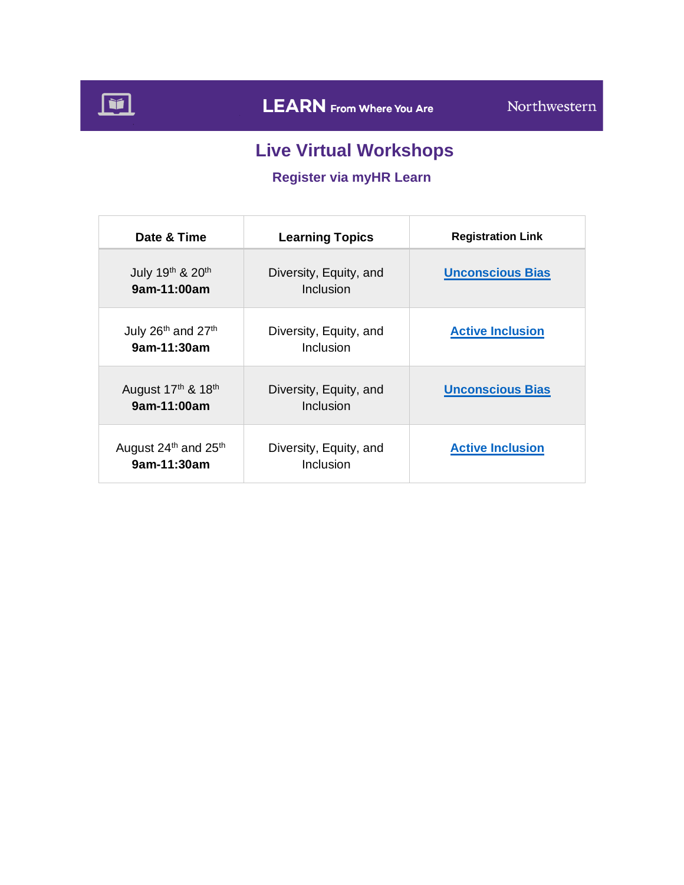

# **Live Virtual Workshops**

## **Register via myHR Learn**

| Date & Time                                                 | <b>Learning Topics</b>              | <b>Registration Link</b> |
|-------------------------------------------------------------|-------------------------------------|--------------------------|
| July 19th & 20th<br>9am-11:00am                             | Diversity, Equity, and<br>Inclusion | <b>Unconscious Bias</b>  |
| July 26 <sup>th</sup> and 27 <sup>th</sup><br>9am-11:30am   | Diversity, Equity, and<br>Inclusion | <b>Active Inclusion</b>  |
| August 17th & 18th<br>9am-11:00am                           | Diversity, Equity, and<br>Inclusion | <b>Unconscious Bias</b>  |
| August 24 <sup>th</sup> and 25 <sup>th</sup><br>9am-11:30am | Diversity, Equity, and<br>Inclusion | <b>Active Inclusion</b>  |